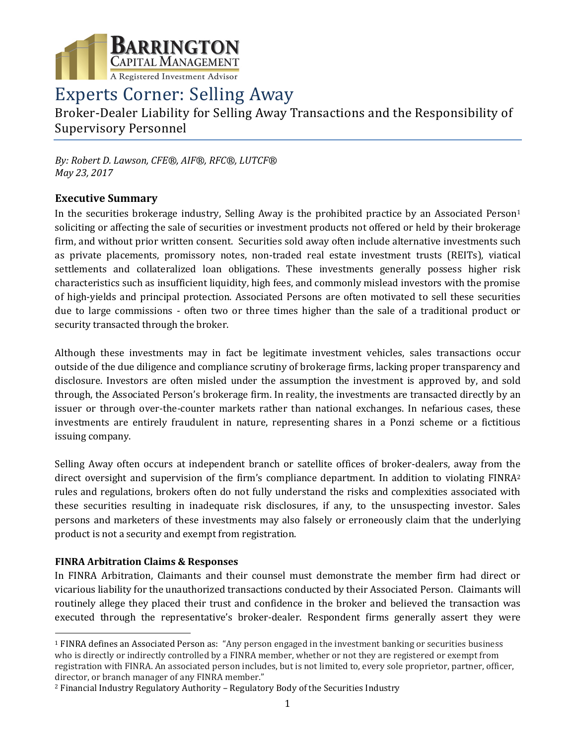

# Experts Corner: Selling Away

Broker-Dealer Liability for Selling Away Transactions and the Responsibility of Supervisory Personnel

*By: Robert D. Lawson, CFE®, AIF®, RFC®, LUTCF® May 23, 2017*

## **Executive Summary**

In the securities brokerage industry, Selling Away is the prohibited practice by an Associated Person<sup>1</sup> soliciting or affecting the sale of securities or investment products not offered or held by their brokerage firm, and without prior written consent. Securities sold away often include alternative investments such as private placements, promissory notes, non-traded real estate investment trusts (REITs), viatical settlements and collateralized loan obligations. These investments generally possess higher risk characteristics such as insufficient liquidity, high fees, and commonly mislead investors with the promise of high-yields and principal protection. Associated Persons are often motivated to sell these securities due to large commissions - often two or three times higher than the sale of a traditional product or security transacted through the broker.

Although these investments may in fact be legitimate investment vehicles, sales transactions occur outside of the due diligence and compliance scrutiny of brokerage firms, lacking proper transparency and disclosure. Investors are often misled under the assumption the investment is approved by, and sold through, the Associated Person's brokerage firm. In reality, the investments are transacted directly by an issuer or through over-the-counter markets rather than national exchanges. In nefarious cases, these investments are entirely fraudulent in nature, representing shares in a Ponzi scheme or a fictitious issuing company.

Selling Away often occurs at independent branch or satellite offices of broker-dealers, away from the direct oversight and supervision of the firm's compliance department. In addition to violating FINRA<sup>2</sup> rules and regulations, brokers often do not fully understand the risks and complexities associated with these securities resulting in inadequate risk disclosures, if any, to the unsuspecting investor. Sales persons and marketers of these investments may also falsely or erroneously claim that the underlying product is not a security and exempt from registration.

## **FINRA Arbitration Claims & Responses**

 $\overline{\phantom{a}}$ 

In FINRA Arbitration, Claimants and their counsel must demonstrate the member firm had direct or vicarious liability for the unauthorized transactions conducted by their Associated Person. Claimants will routinely allege they placed their trust and confidence in the broker and believed the transaction was executed through the representative's broker-dealer. Respondent firms generally assert they were

<sup>1</sup> FINRA defines an Associated Person as: "Any person engaged in the investment banking or securities business who is directly or indirectly controlled by a FINRA member, whether or not they are registered or exempt from registration with FINRA. An associated person includes, but is not limited to, every sole proprietor, partner, officer, director, or branch manager of any FINRA member."

<sup>2</sup> Financial Industry Regulatory Authority – Regulatory Body of the Securities Industry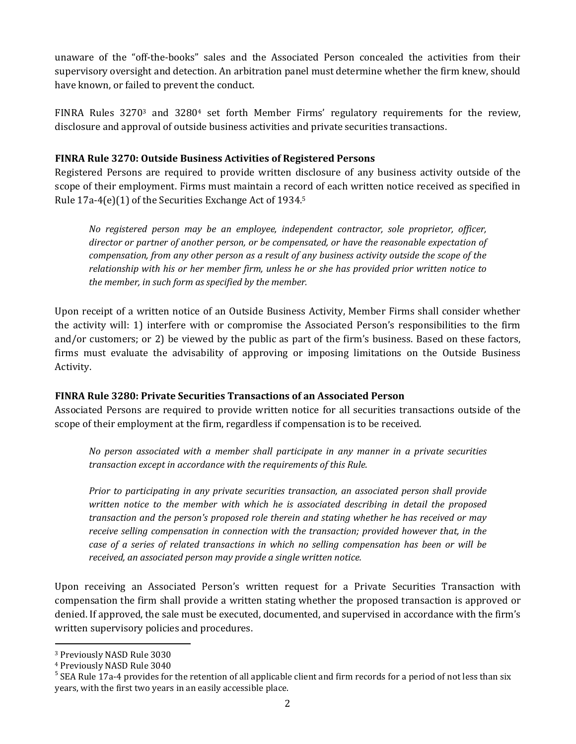unaware of the "off-the-books" sales and the Associated Person concealed the activities from their supervisory oversight and detection. An arbitration panel must determine whether the firm knew, should have known, or failed to prevent the conduct.

FINRA Rules 3270<sup>3</sup> and 3280<sup>4</sup> set forth Member Firms' regulatory requirements for the review, disclosure and approval of outside business activities and private securities transactions.

#### **FINRA Rule 3270: Outside Business Activities of Registered Persons**

Registered Persons are required to provide written disclosure of any business activity outside of the scope of their employment. Firms must maintain a record of each written notice received as specified in Rule 17a-4(e)(1) of the Securities Exchange Act of 1934. 5

*No registered person may be an employee, independent contractor, sole proprietor, officer, director or partner of another person, or be compensated, or have the reasonable expectation of compensation, from any other person as a result of any business activity outside the scope of the relationship with his or her member firm, unless he or she has provided prior written notice to the member, in such form as specified by the member.*

Upon receipt of a written notice of an Outside Business Activity, Member Firms shall consider whether the activity will: 1) interfere with or compromise the Associated Person's responsibilities to the firm and/or customers; or 2) be viewed by the public as part of the firm's business. Based on these factors, firms must evaluate the advisability of approving or imposing limitations on the Outside Business Activity.

## **FINRA Rule 3280: Private Securities Transactions of an Associated Person**

Associated Persons are required to provide written notice for all securities transactions outside of the scope of their employment at the firm, regardless if compensation is to be received.

*No person associated with a member shall participate in any manner in a private securities transaction except in accordance with the requirements of this Rule.*

*Prior to participating in any private securities transaction, an associated person shall provide written notice to the member with which he is associated describing in detail the proposed transaction and the person's proposed role therein and stating whether he has received or may receive selling compensation in connection with the transaction; provided however that, in the case of a series of related transactions in which no selling compensation has been or will be received, an associated person may provide a single written notice.*

Upon receiving an Associated Person's written request for a Private Securities Transaction with compensation the firm shall provide a written stating whether the proposed transaction is approved or denied. If approved, the sale must be executed, documented, and supervised in accordance with the firm's written supervisory policies and procedures.

 $\overline{a}$ 

<sup>3</sup> Previously NASD Rule 3030

<sup>4</sup> Previously NASD Rule 3040

<sup>&</sup>lt;sup>5</sup> SEA Rule 17a-4 provides for the retention of all applicable client and firm records for a period of not less than six years, with the first two years in an easily accessible place.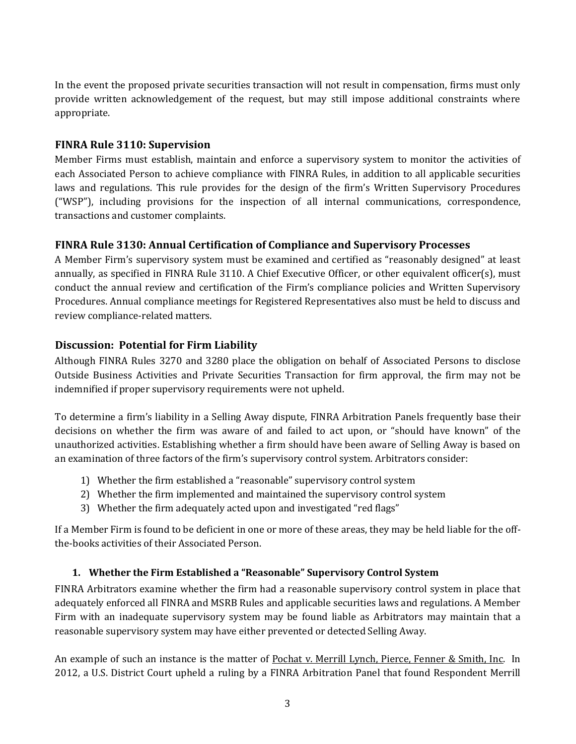In the event the proposed private securities transaction will not result in compensation, firms must only provide written acknowledgement of the request, but may still impose additional constraints where appropriate.

## **FINRA Rule 3110: Supervision**

Member Firms must establish, maintain and enforce a supervisory system to monitor the activities of each Associated Person to achieve compliance with FINRA Rules, in addition to all applicable securities laws and regulations. This rule provides for the design of the firm's Written Supervisory Procedures ("WSP"), including provisions for the inspection of all internal communications, correspondence, transactions and customer complaints.

# **FINRA Rule 3130: Annual Certification of Compliance and Supervisory Processes**

A Member Firm's supervisory system must be examined and certified as "reasonably designed" at least annually, as specified in FINRA Rule 3110. A Chief Executive Officer, or other equivalent officer(s), must conduct the annual review and certification of the Firm's compliance policies and Written Supervisory Procedures. Annual compliance meetings for Registered Representatives also must be held to discuss and review compliance-related matters.

# **Discussion: Potential for Firm Liability**

Although FINRA Rules 3270 and 3280 place the obligation on behalf of Associated Persons to disclose Outside Business Activities and Private Securities Transaction for firm approval, the firm may not be indemnified if proper supervisory requirements were not upheld.

To determine a firm's liability in a Selling Away dispute, FINRA Arbitration Panels frequently base their decisions on whether the firm was aware of and failed to act upon, or "should have known" of the unauthorized activities. Establishing whether a firm should have been aware of Selling Away is based on an examination of three factors of the firm's supervisory control system. Arbitrators consider:

- 1) Whether the firm established a "reasonable" supervisory control system
- 2) Whether the firm implemented and maintained the supervisory control system
- 3) Whether the firm adequately acted upon and investigated "red flags"

If a Member Firm is found to be deficient in one or more of these areas, they may be held liable for the offthe-books activities of their Associated Person.

# **1. Whether the Firm Established a "Reasonable" Supervisory Control System**

FINRA Arbitrators examine whether the firm had a reasonable supervisory control system in place that adequately enforced all FINRA and MSRB Rules and applicable securities laws and regulations. A Member Firm with an inadequate supervisory system may be found liable as Arbitrators may maintain that a reasonable supervisory system may have either prevented or detected Selling Away.

An example of such an instance is the matter of Pochat v. Merrill Lynch, Pierce, Fenner & Smith, Inc. In 2012, a U.S. District Court upheld a ruling by a FINRA Arbitration Panel that found Respondent Merrill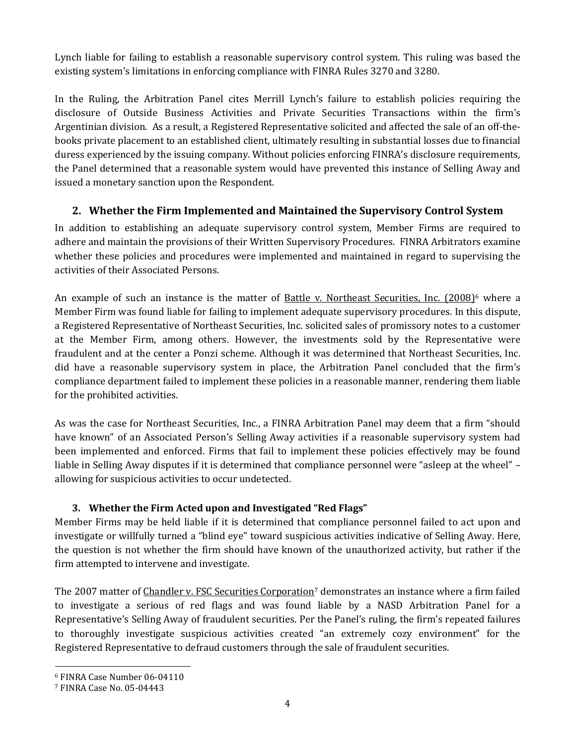Lynch liable for failing to establish a reasonable supervisory control system. This ruling was based the existing system's limitations in enforcing compliance with FINRA Rules 3270 and 3280.

In the Ruling, the Arbitration Panel cites Merrill Lynch's failure to establish policies requiring the disclosure of Outside Business Activities and Private Securities Transactions within the firm's Argentinian division. As a result, a Registered Representative solicited and affected the sale of an off-thebooks private placement to an established client, ultimately resulting in substantial losses due to financial duress experienced by the issuing company. Without policies enforcing FINRA's disclosure requirements, the Panel determined that a reasonable system would have prevented this instance of Selling Away and issued a monetary sanction upon the Respondent.

## **2. Whether the Firm Implemented and Maintained the Supervisory Control System**

In addition to establishing an adequate supervisory control system, Member Firms are required to adhere and maintain the provisions of their Written Supervisory Procedures. FINRA Arbitrators examine whether these policies and procedures were implemented and maintained in regard to supervising the activities of their Associated Persons.

An example of such an instance is the matter of Battle v. Northeast Securities, Inc.  $(2008)^6$  where a Member Firm was found liable for failing to implement adequate supervisory procedures. In this dispute, a Registered Representative of Northeast Securities, Inc. solicited sales of promissory notes to a customer at the Member Firm, among others. However, the investments sold by the Representative were fraudulent and at the center a Ponzi scheme. Although it was determined that Northeast Securities, Inc. did have a reasonable supervisory system in place, the Arbitration Panel concluded that the firm's compliance department failed to implement these policies in a reasonable manner, rendering them liable for the prohibited activities.

As was the case for Northeast Securities, Inc., a FINRA Arbitration Panel may deem that a firm "should have known" of an Associated Person's Selling Away activities if a reasonable supervisory system had been implemented and enforced. Firms that fail to implement these policies effectively may be found liable in Selling Away disputes if it is determined that compliance personnel were "asleep at the wheel" – allowing for suspicious activities to occur undetected.

## **3. Whether the Firm Acted upon and Investigated "Red Flags"**

Member Firms may be held liable if it is determined that compliance personnel failed to act upon and investigate or willfully turned a "blind eye" toward suspicious activities indicative of Selling Away. Here, the question is not whether the firm should have known of the unauthorized activity, but rather if the firm attempted to intervene and investigate.

The 2007 matter of Chandler v. FSC Securities Corporation<sup>7</sup> demonstrates an instance where a firm failed to investigate a serious of red flags and was found liable by a NASD Arbitration Panel for a Representative's Selling Away of fraudulent securities. Per the Panel's ruling, the firm's repeated failures to thoroughly investigate suspicious activities created "an extremely cozy environment" for the Registered Representative to defraud customers through the sale of fraudulent securities.

 $\overline{a}$ 

<sup>6</sup> FINRA Case Number 06-04110

<sup>7</sup> FINRA Case No. 05-04443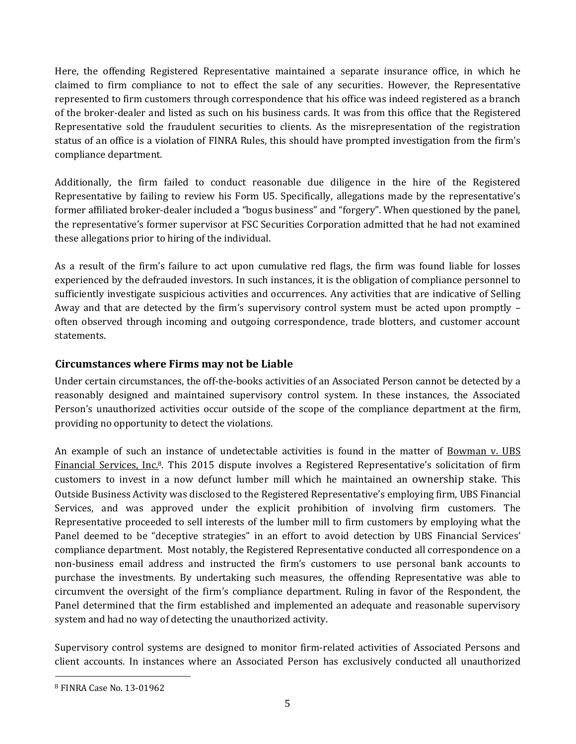Here, the offending Registered Representative maintained a separate insurance office, in which he claimed to firm compliance to not to effect the sale of any securities. However, the Representative represented to firm customers through correspondence that his office was indeed registered as a branch of the broker-dealer and listed as such on his business cards. It was from this office that the Registered Representative sold the fraudulent securities to clients. As the misrepresentation of the registration status of an office is a violation of FINRA Rules, this should have prompted investigation from the firm's compliance department.

Additionally, the firm failed to conduct reasonable due diligence in the hire of the Registered Representative by failing to review his Form U5. Specifically, allegations made by the representative's former affiliated broker-dealer included a "bogus business" and "forgery". When questioned by the panel, the representative's former supervisor at FSC Securities Corporation admitted that he had not examined these allegations prior to hiring of the individual.

As a result of the firm's failure to act upon cumulative red flags, the firm was found liable for losses experienced by the defrauded investors. In such instances, it is the obligation of compliance personnel to sufficiently investigate suspicious activities and occurrences. Any activities that are indicative of Selling Away and that are detected by the firm's supervisory control system must be acted upon promptly – often observed through incoming and outgoing correspondence, trade blotters, and customer account statements.

## **Circumstances where Firms may not be Liable**

Under certain circumstances, the off-the-books activities of an Associated Person cannot be detected by a reasonably designed and maintained supervisory control system. In these instances, the Associated Person's unauthorized activities occur outside of the scope of the compliance department at the firm, providing no opportunity to detect the violations.

An example of such an instance of undetectable activities is found in the matter of Bowman v. UBS Financial Services, Inc.<sup>8</sup>. This 2015 dispute involves a Registered Representative's solicitation of firm customers to invest in a now defunct lumber mill which he maintained an ownership stake. This Outside Business Activity was disclosed to the Registered Representative's employing firm, UBS Financial Services, and was approved under the explicit prohibition of involving firm customers. The Representative proceeded to sell interests of the lumber mill to firm customers by employing what the Panel deemed to be "deceptive strategies" in an effort to avoid detection by UBS Financial Services' compliance department. Most notably, the Registered Representative conducted all correspondence on a non-business email address and instructed the firm's customers to use personal bank accounts to purchase the investments. By undertaking such measures, the offending Representative was able to circumvent the oversight of the firm's compliance department. Ruling in favor of the Respondent, the Panel determined that the firm established and implemented an adequate and reasonable supervisory system and had no way of detecting the unauthorized activity.

Supervisory control systems are designed to monitor firm-related activities of Associated Persons and client accounts. In instances where an Associated Person has exclusively conducted all unauthorized

l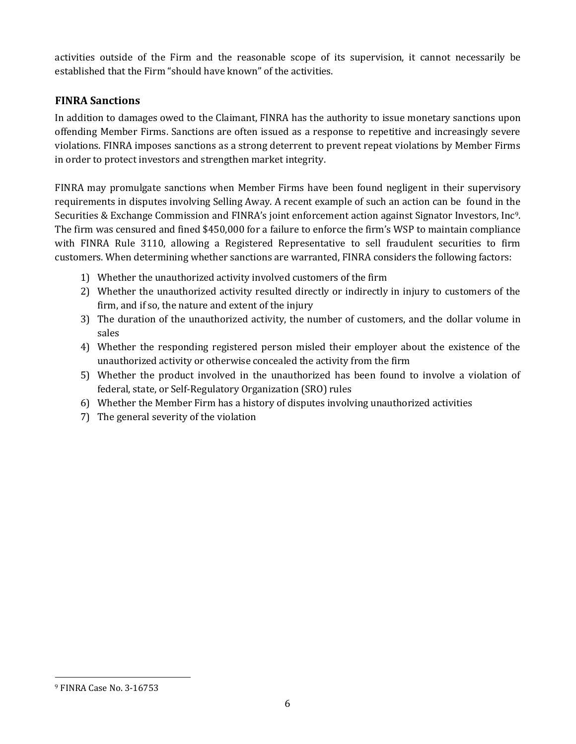activities outside of the Firm and the reasonable scope of its supervision, it cannot necessarily be established that the Firm "should have known" of the activities.

## **FINRA Sanctions**

In addition to damages owed to the Claimant, FINRA has the authority to issue monetary sanctions upon offending Member Firms. Sanctions are often issued as a response to repetitive and increasingly severe violations. FINRA imposes sanctions as a strong deterrent to prevent repeat violations by Member Firms in order to protect investors and strengthen market integrity.

FINRA may promulgate sanctions when Member Firms have been found negligent in their supervisory requirements in disputes involving Selling Away. A recent example of such an action can be found in the Securities & Exchange Commission and FINRA's joint enforcement action against Signator Investors, Inc9. The firm was censured and fined \$450,000 for a failure to enforce the firm's WSP to maintain compliance with FINRA Rule 3110, allowing a Registered Representative to sell fraudulent securities to firm customers. When determining whether sanctions are warranted, FINRA considers the following factors:

- 1) Whether the unauthorized activity involved customers of the firm
- 2) Whether the unauthorized activity resulted directly or indirectly in injury to customers of the firm, and if so, the nature and extent of the injury
- 3) The duration of the unauthorized activity, the number of customers, and the dollar volume in sales
- 4) Whether the responding registered person misled their employer about the existence of the unauthorized activity or otherwise concealed the activity from the firm
- 5) Whether the product involved in the unauthorized has been found to involve a violation of federal, state, or Self-Regulatory Organization (SRO) rules
- 6) Whether the Member Firm has a history of disputes involving unauthorized activities
- 7) The general severity of the violation

 $\overline{a}$ 

<sup>9</sup> FINRA Case No. 3-16753